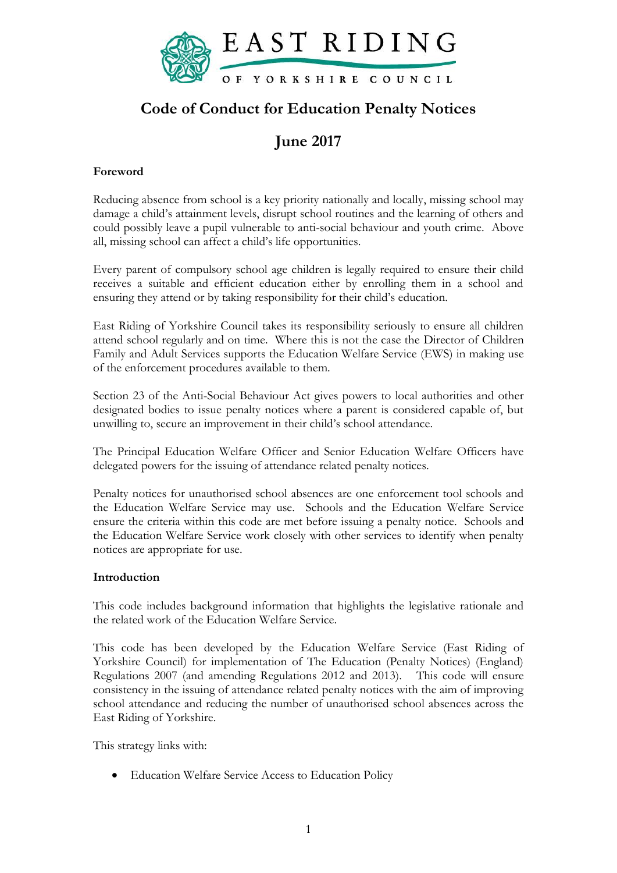

## **Code of Conduct for Education Penalty Notices**

# **June 2017**

### **Foreword**

Reducing absence from school is a key priority nationally and locally, missing school may damage a child's attainment levels, disrupt school routines and the learning of others and could possibly leave a pupil vulnerable to anti-social behaviour and youth crime. Above all, missing school can affect a child's life opportunities.

Every parent of compulsory school age children is legally required to ensure their child receives a suitable and efficient education either by enrolling them in a school and ensuring they attend or by taking responsibility for their child's education.

East Riding of Yorkshire Council takes its responsibility seriously to ensure all children attend school regularly and on time. Where this is not the case the Director of Children Family and Adult Services supports the Education Welfare Service (EWS) in making use of the enforcement procedures available to them.

Section 23 of the Anti-Social Behaviour Act gives powers to local authorities and other designated bodies to issue penalty notices where a parent is considered capable of, but unwilling to, secure an improvement in their child's school attendance.

The Principal Education Welfare Officer and Senior Education Welfare Officers have delegated powers for the issuing of attendance related penalty notices.

Penalty notices for unauthorised school absences are one enforcement tool schools and the Education Welfare Service may use. Schools and the Education Welfare Service ensure the criteria within this code are met before issuing a penalty notice. Schools and the Education Welfare Service work closely with other services to identify when penalty notices are appropriate for use.

#### **Introduction**

This code includes background information that highlights the legislative rationale and the related work of the Education Welfare Service.

This code has been developed by the Education Welfare Service (East Riding of Yorkshire Council) for implementation of The Education (Penalty Notices) (England) Regulations 2007 (and amending Regulations 2012 and 2013). This code will ensure consistency in the issuing of attendance related penalty notices with the aim of improving school attendance and reducing the number of unauthorised school absences across the East Riding of Yorkshire.

This strategy links with:

Education Welfare Service Access to Education Policy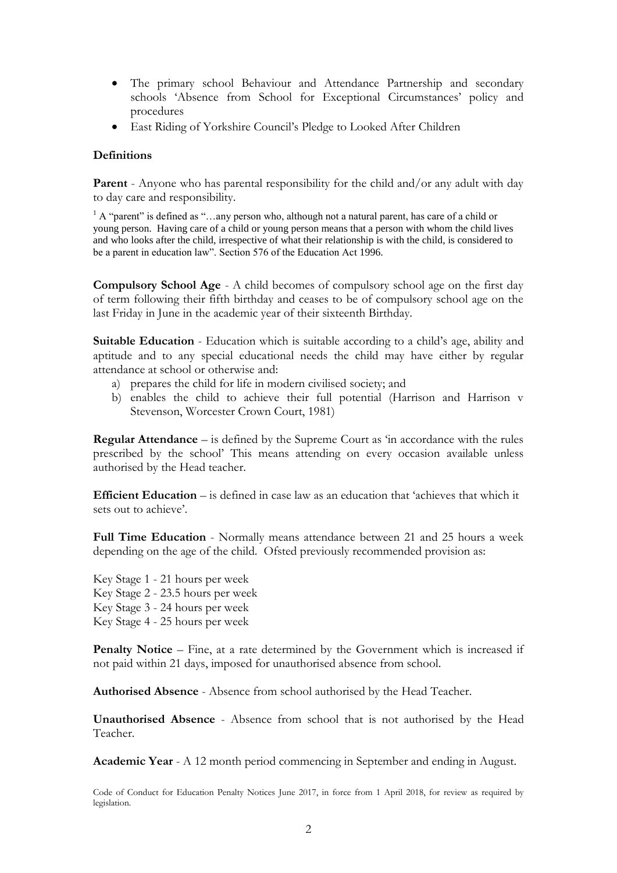- The primary school Behaviour and Attendance Partnership and secondary schools 'Absence from School for Exceptional Circumstances' policy and procedures
- East Riding of Yorkshire Council's Pledge to Looked After Children

#### **Definitions**

**Parent** - Anyone who has parental responsibility for the child and/or any adult with day to day care and responsibility.

<sup>1</sup> A "parent" is defined as "...any person who, although not a natural parent, has care of a child or young person. Having care of a child or young person means that a person with whom the child lives and who looks after the child, irrespective of what their relationship is with the child, is considered to be a parent in education law". Section 576 of the Education Act 1996.

**Compulsory School Age** - A child becomes of compulsory school age on the first day of term following their fifth birthday and ceases to be of compulsory school age on the last Friday in June in the academic year of their sixteenth Birthday.

**Suitable Education** - Education which is suitable according to a child's age, ability and aptitude and to any special educational needs the child may have either by regular attendance at school or otherwise and:

- a) prepares the child for life in modern civilised society; and
- b) enables the child to achieve their full potential (Harrison and Harrison v Stevenson, Worcester Crown Court, 1981)

**Regular Attendance** – is defined by the Supreme Court as 'in accordance with the rules prescribed by the school' This means attending on every occasion available unless authorised by the Head teacher.

**Efficient Education** – is defined in case law as an education that 'achieves that which it sets out to achieve'.

**Full Time Education** - Normally means attendance between 21 and 25 hours a week depending on the age of the child. Ofsted previously recommended provision as:

Key Stage 1 - 21 hours per week Key Stage 2 - 23.5 hours per week Key Stage 3 - 24 hours per week Key Stage 4 - 25 hours per week

**Penalty Notice** – Fine, at a rate determined by the Government which is increased if not paid within 21 days, imposed for unauthorised absence from school.

**Authorised Absence** - Absence from school authorised by the Head Teacher.

**Unauthorised Absence** - Absence from school that is not authorised by the Head Teacher.

**Academic Year** - A 12 month period commencing in September and ending in August.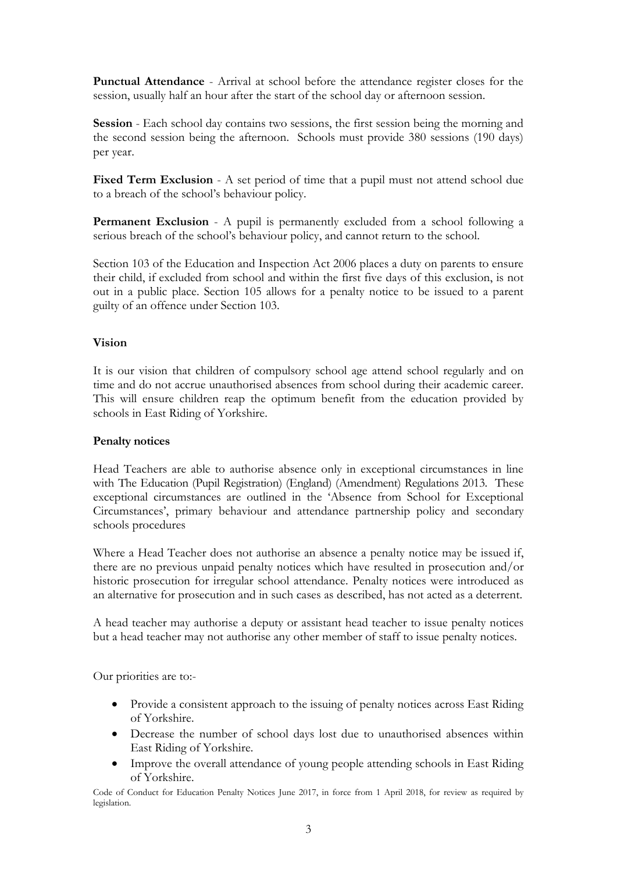**Punctual Attendance** - Arrival at school before the attendance register closes for the session, usually half an hour after the start of the school day or afternoon session.

**Session** - Each school day contains two sessions, the first session being the morning and the second session being the afternoon. Schools must provide 380 sessions (190 days) per year.

Fixed Term Exclusion - A set period of time that a pupil must not attend school due to a breach of the school's behaviour policy.

**Permanent Exclusion** - A pupil is permanently excluded from a school following a serious breach of the school's behaviour policy, and cannot return to the school.

Section 103 of the Education and Inspection Act 2006 places a duty on parents to ensure their child, if excluded from school and within the first five days of this exclusion, is not out in a public place. Section 105 allows for a penalty notice to be issued to a parent guilty of an offence under Section 103.

#### **Vision**

It is our vision that children of compulsory school age attend school regularly and on time and do not accrue unauthorised absences from school during their academic career. This will ensure children reap the optimum benefit from the education provided by schools in East Riding of Yorkshire.

#### **Penalty notices**

Head Teachers are able to authorise absence only in exceptional circumstances in line with The Education (Pupil Registration) (England) (Amendment) Regulations 2013. These exceptional circumstances are outlined in the 'Absence from School for Exceptional Circumstances', primary behaviour and attendance partnership policy and secondary schools procedures

Where a Head Teacher does not authorise an absence a penalty notice may be issued if, there are no previous unpaid penalty notices which have resulted in prosecution and/or historic prosecution for irregular school attendance. Penalty notices were introduced as an alternative for prosecution and in such cases as described, has not acted as a deterrent.

A head teacher may authorise a deputy or assistant head teacher to issue penalty notices but a head teacher may not authorise any other member of staff to issue penalty notices.

Our priorities are to:-

- Provide a consistent approach to the issuing of penalty notices across East Riding of Yorkshire.
- Decrease the number of school days lost due to unauthorised absences within East Riding of Yorkshire.
- Improve the overall attendance of young people attending schools in East Riding of Yorkshire.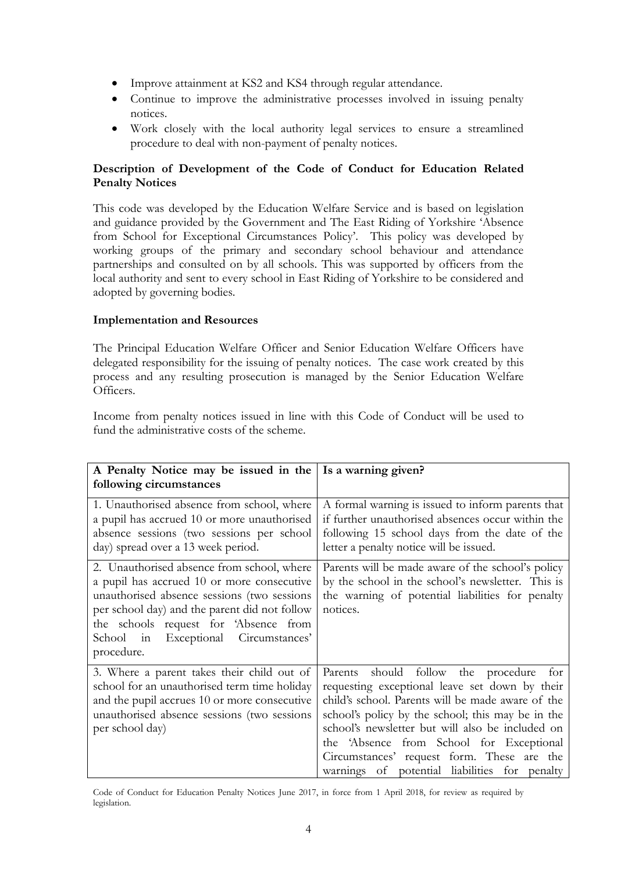- Improve attainment at KS2 and KS4 through regular attendance.
- Continue to improve the administrative processes involved in issuing penalty notices.
- Work closely with the local authority legal services to ensure a streamlined procedure to deal with non-payment of penalty notices.

#### **Description of Development of the Code of Conduct for Education Related Penalty Notices**

This code was developed by the Education Welfare Service and is based on legislation and guidance provided by the Government and The East Riding of Yorkshire 'Absence from School for Exceptional Circumstances Policy'. This policy was developed by working groups of the primary and secondary school behaviour and attendance partnerships and consulted on by all schools. This was supported by officers from the local authority and sent to every school in East Riding of Yorkshire to be considered and adopted by governing bodies.

#### **Implementation and Resources**

The Principal Education Welfare Officer and Senior Education Welfare Officers have delegated responsibility for the issuing of penalty notices. The case work created by this process and any resulting prosecution is managed by the Senior Education Welfare Officers.

Income from penalty notices issued in line with this Code of Conduct will be used to fund the administrative costs of the scheme.

| A Penalty Notice may be issued in the Is a warning given?                                                                                                                                                                                                                               |                                                                                                                                                                                                                                                                                                                                                                                                          |
|-----------------------------------------------------------------------------------------------------------------------------------------------------------------------------------------------------------------------------------------------------------------------------------------|----------------------------------------------------------------------------------------------------------------------------------------------------------------------------------------------------------------------------------------------------------------------------------------------------------------------------------------------------------------------------------------------------------|
| following circumstances                                                                                                                                                                                                                                                                 |                                                                                                                                                                                                                                                                                                                                                                                                          |
| 1. Unauthorised absence from school, where<br>a pupil has accrued 10 or more unauthorised<br>absence sessions (two sessions per school<br>day) spread over a 13 week period.                                                                                                            | A formal warning is issued to inform parents that<br>if further unauthorised absences occur within the<br>following 15 school days from the date of the<br>letter a penalty notice will be issued.                                                                                                                                                                                                       |
| 2. Unauthorised absence from school, where<br>a pupil has accrued 10 or more consecutive<br>unauthorised absence sessions (two sessions<br>per school day) and the parent did not follow<br>the schools request for 'Absence from<br>School in Exceptional Circumstances'<br>procedure. | Parents will be made aware of the school's policy<br>by the school in the school's newsletter. This is<br>the warning of potential liabilities for penalty<br>notices.                                                                                                                                                                                                                                   |
| 3. Where a parent takes their child out of<br>school for an unauthorised term time holiday<br>and the pupil accrues 10 or more consecutive<br>unauthorised absence sessions (two sessions<br>per school day)                                                                            | should follow the procedure<br>Parents<br>for<br>requesting exceptional leave set down by their<br>child's school. Parents will be made aware of the<br>school's policy by the school; this may be in the<br>school's newsletter but will also be included on<br>the 'Absence from School for Exceptional<br>Circumstances' request form. These are the<br>warnings of potential liabilities for penalty |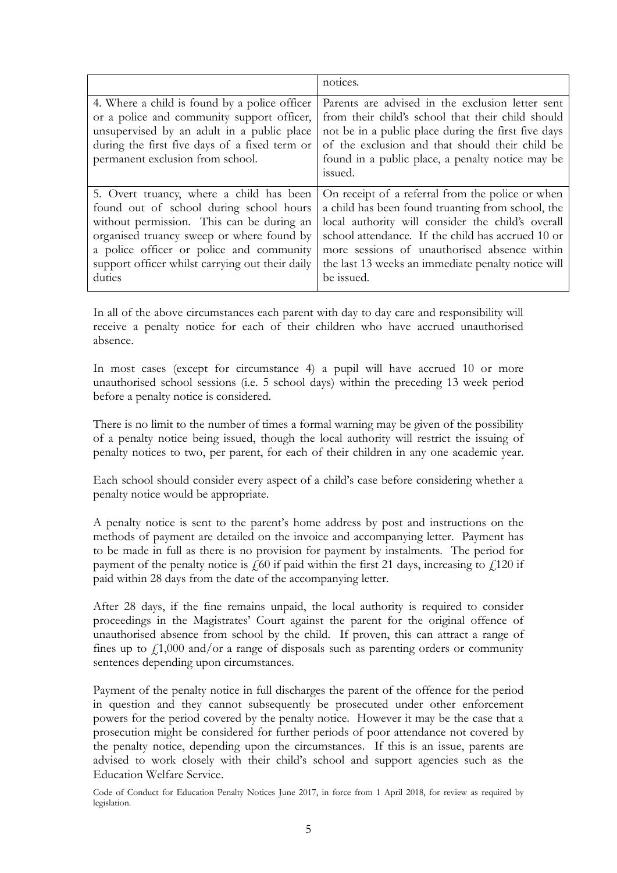|                                                                                                                                                                                                                                                                                        | notices.                                                                                                                                                                                                                                                                                                                            |
|----------------------------------------------------------------------------------------------------------------------------------------------------------------------------------------------------------------------------------------------------------------------------------------|-------------------------------------------------------------------------------------------------------------------------------------------------------------------------------------------------------------------------------------------------------------------------------------------------------------------------------------|
| 4. Where a child is found by a police officer<br>or a police and community support officer,<br>unsupervised by an adult in a public place<br>during the first five days of a fixed term or<br>permanent exclusion from school.                                                         | Parents are advised in the exclusion letter sent<br>from their child's school that their child should<br>not be in a public place during the first five days<br>of the exclusion and that should their child be<br>found in a public place, a penalty notice may be<br>issued.                                                      |
| 5. Overt truancy, where a child has been<br>found out of school during school hours<br>without permission. This can be during an<br>organised truancy sweep or where found by<br>a police officer or police and community<br>support officer whilst carrying out their daily<br>duties | On receipt of a referral from the police or when<br>a child has been found truanting from school, the<br>local authority will consider the child's overall<br>school attendance. If the child has accrued 10 or<br>more sessions of unauthorised absence within<br>the last 13 weeks an immediate penalty notice will<br>be issued. |

In all of the above circumstances each parent with day to day care and responsibility will receive a penalty notice for each of their children who have accrued unauthorised absence.

In most cases (except for circumstance 4) a pupil will have accrued 10 or more unauthorised school sessions (i.e. 5 school days) within the preceding 13 week period before a penalty notice is considered.

There is no limit to the number of times a formal warning may be given of the possibility of a penalty notice being issued, though the local authority will restrict the issuing of penalty notices to two, per parent, for each of their children in any one academic year.

Each school should consider every aspect of a child's case before considering whether a penalty notice would be appropriate.

A penalty notice is sent to the parent's home address by post and instructions on the methods of payment are detailed on the invoice and accompanying letter. Payment has to be made in full as there is no provision for payment by instalments. The period for payment of the penalty notice is  $\zeta$  60 if paid within the first 21 days, increasing to  $\zeta$ 120 if paid within 28 days from the date of the accompanying letter.

After 28 days, if the fine remains unpaid, the local authority is required to consider proceedings in the Magistrates' Court against the parent for the original offence of unauthorised absence from school by the child. If proven, this can attract a range of fines up to  $f1,000$  and/or a range of disposals such as parenting orders or community sentences depending upon circumstances.

Payment of the penalty notice in full discharges the parent of the offence for the period in question and they cannot subsequently be prosecuted under other enforcement powers for the period covered by the penalty notice. However it may be the case that a prosecution might be considered for further periods of poor attendance not covered by the penalty notice, depending upon the circumstances. If this is an issue, parents are advised to work closely with their child's school and support agencies such as the Education Welfare Service.